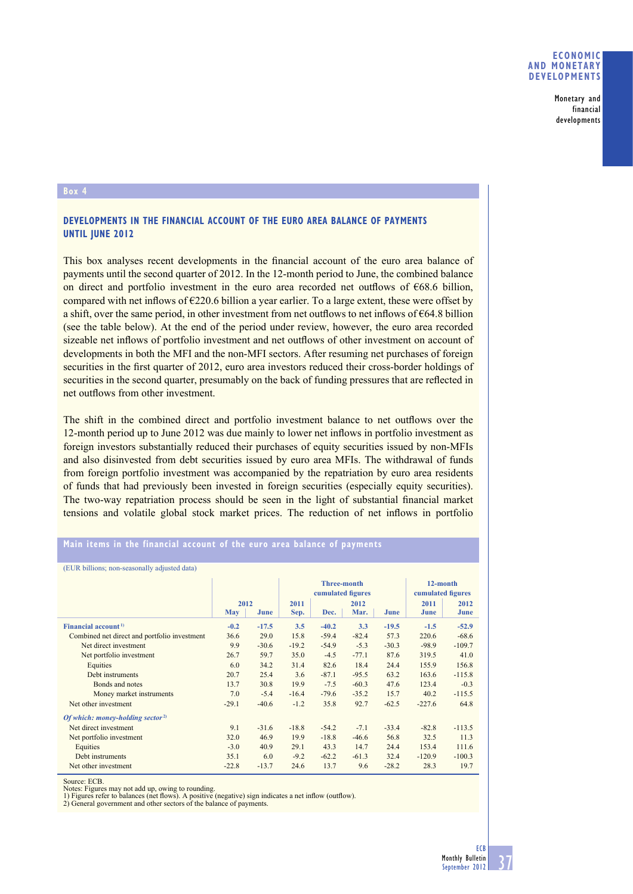Monetary and financial developments

## **Box 4**

## **DEVELOPMENTS IN THE FINANCIAL ACCOUNT OF THE EURO AREA BALANCE OF PAYMENTS UNTIL JUNE 2012**

This box analyses recent developments in the financial account of the euro area balance of payments until the second quarter of 2012. In the 12-month period to June, the combined balance on direct and portfolio investment in the euro area recorded net outflows of  $668.6$  billion, compared with net inflows of  $\epsilon$ 220.6 billion a year earlier. To a large extent, these were offset by a shift, over the same period, in other investment from net outflows to net inflows of  $664.8$  billion (see the table below). At the end of the period under review, however, the euro area recorded sizeable net inflows of portfolio investment and net outflows of other investment on account of developments in both the MFI and the non-MFI sectors. After resuming net purchases of foreign securities in the first quarter of 2012, euro area investors reduced their cross-border holdings of securities in the second quarter, presumably on the back of funding pressures that are reflected in net outflows from other investment.

The shift in the combined direct and portfolio investment balance to net outflows over the 12-month period up to June 2012 was due mainly to lower net inflows in portfolio investment as foreign investors substantially reduced their purchases of equity securities issued by non-MFIs and also disinvested from debt securities issued by euro area MFIs. The withdrawal of funds from foreign portfolio investment was accompanied by the repatriation by euro area residents of funds that had previously been invested in foreign securities (especially equity securities). The two-way repatriation process should be seen in the light of substantial financial market tensions and volatile global stock market prices. The reduction of net inflows in portfolio

## **Main items in the financial account of the euro area balance of payments**

(EUR billions; non-seasonally adjusted data)

|                                              |            |         | <b>Three-month</b><br>cumulated figures |         |         |         | 12-month<br>cumulated figures |          |
|----------------------------------------------|------------|---------|-----------------------------------------|---------|---------|---------|-------------------------------|----------|
|                                              | 2012       |         | 2011                                    |         | 2012    |         | 2011                          | 2012     |
|                                              | <b>May</b> | June    | Sep.                                    | Dec.    | Mar.    | June    | June                          | June     |
| Financial account <sup>1)</sup>              | $-0.2$     | $-17.5$ | 3.5                                     | $-40.2$ | 3.3     | $-19.5$ | $-1.5$                        | $-52.9$  |
| Combined net direct and portfolio investment | 36.6       | 29.0    | 15.8                                    | $-59.4$ | $-82.4$ | 57.3    | 220.6                         | $-68.6$  |
| Net direct investment                        | 9.9        | $-30.6$ | $-19.2$                                 | $-54.9$ | $-5.3$  | $-30.3$ | $-98.9$                       | $-109.7$ |
| Net portfolio investment                     | 26.7       | 59.7    | 35.0                                    | $-4.5$  | $-77.1$ | 87.6    | 319.5                         | 41.0     |
| Equities                                     | 6.0        | 34.2    | 31.4                                    | 82.6    | 18.4    | 24.4    | 155.9                         | 156.8    |
| Debt instruments                             | 20.7       | 25.4    | 3.6                                     | $-87.1$ | $-95.5$ | 63.2    | 163.6                         | $-115.8$ |
| Bonds and notes                              | 13.7       | 30.8    | 19.9                                    | $-7.5$  | $-60.3$ | 47.6    | 123.4                         | $-0.3$   |
| Money market instruments                     | 7.0        | $-5.4$  | $-16.4$                                 | $-79.6$ | $-35.2$ | 15.7    | 40.2                          | $-115.5$ |
| Net other investment                         | $-29.1$    | $-40.6$ | $-1.2$                                  | 35.8    | 92.7    | $-62.5$ | $-227.6$                      | 64.8     |
| Of which: money-holding sector <sup>2)</sup> |            |         |                                         |         |         |         |                               |          |
| Net direct investment                        | 9.1        | $-31.6$ | $-18.8$                                 | $-54.2$ | $-7.1$  | $-33.4$ | $-82.8$                       | $-113.5$ |
| Net portfolio investment                     | 32.0       | 46.9    | 19.9                                    | $-18.8$ | $-46.6$ | 56.8    | 32.5                          | 11.3     |
| Equities                                     | $-3.0$     | 40.9    | 29.1                                    | 43.3    | 14.7    | 24.4    | 153.4                         | 111.6    |
| Debt instruments                             | 35.1       | 6.0     | $-9.2$                                  | $-62.2$ | $-61.3$ | 32.4    | $-120.9$                      | $-100.3$ |
| Net other investment                         | $-22.8$    | $-13.7$ | 24.6                                    | 13.7    | 9.6     | $-28.2$ | 28.3                          | 19.7     |
|                                              |            |         |                                         |         |         |         |                               |          |

Source: ECB.

Notes: Figures may not add up, owing to rounding.<br>1) Figures refer to balances (net flows). A positive (negative) sign indicates a net inflow (outflow).

2) General government and other sectors of the balance of payments.